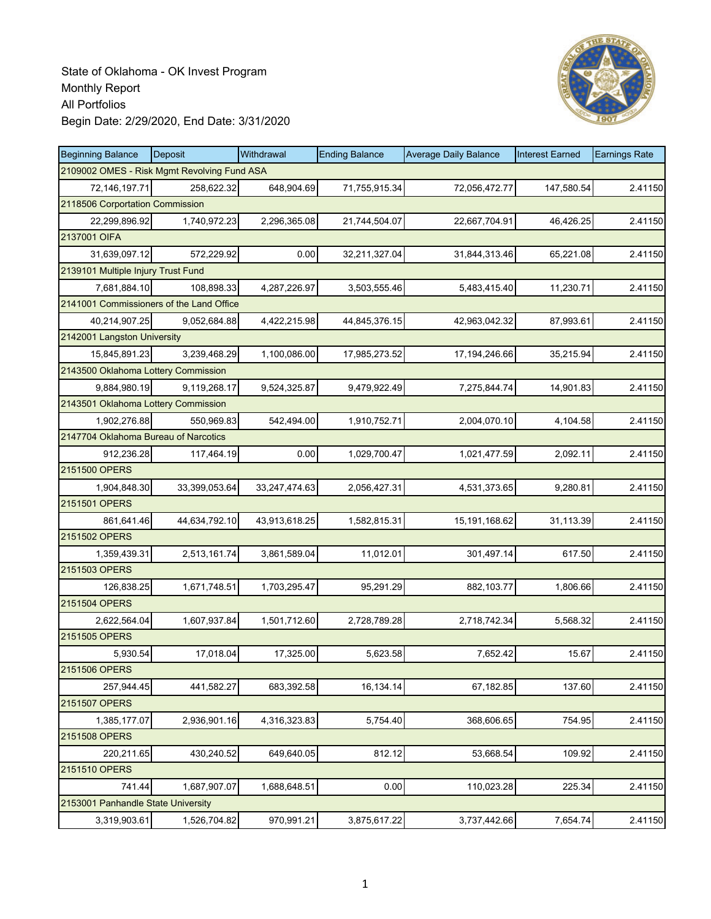

| <b>Beginning Balance</b>                 | Deposit                                     | Withdrawal    | <b>Ending Balance</b> | <b>Average Daily Balance</b> | <b>Interest Earned</b> | <b>Earnings Rate</b> |  |  |
|------------------------------------------|---------------------------------------------|---------------|-----------------------|------------------------------|------------------------|----------------------|--|--|
|                                          | 2109002 OMES - Risk Mgmt Revolving Fund ASA |               |                       |                              |                        |                      |  |  |
| 72,146,197.71                            | 258,622.32                                  | 648,904.69    | 71,755,915.34         | 72,056,472.77                | 147,580.54             | 2.41150              |  |  |
| 2118506 Corportation Commission          |                                             |               |                       |                              |                        |                      |  |  |
| 22,299,896.92                            | 1,740,972.23                                | 2,296,365.08  | 21,744,504.07         | 22,667,704.91                | 46,426.25              | 2.41150              |  |  |
| 2137001 OIFA                             |                                             |               |                       |                              |                        |                      |  |  |
| 31,639,097.12                            | 572,229.92                                  | 0.00          | 32,211,327.04         | 31,844,313.46                | 65,221.08              | 2.41150              |  |  |
| 2139101 Multiple Injury Trust Fund       |                                             |               |                       |                              |                        |                      |  |  |
| 7,681,884.10                             | 108,898.33                                  | 4,287,226.97  | 3,503,555.46          | 5,483,415.40                 | 11,230.71              | 2.41150              |  |  |
| 2141001 Commissioners of the Land Office |                                             |               |                       |                              |                        |                      |  |  |
| 40,214,907.25                            | 9,052,684.88                                | 4,422,215.98  | 44,845,376.15         | 42,963,042.32                | 87,993.61              | 2.41150              |  |  |
| 2142001 Langston University              |                                             |               |                       |                              |                        |                      |  |  |
| 15,845,891.23                            | 3,239,468.29                                | 1,100,086.00  | 17,985,273.52         | 17, 194, 246.66              | 35,215.94              | 2.41150              |  |  |
| 2143500 Oklahoma Lottery Commission      |                                             |               |                       |                              |                        |                      |  |  |
| 9,884,980.19                             | 9.119.268.17                                | 9,524,325.87  | 9,479,922.49          | 7,275,844.74                 | 14,901.83              | 2.41150              |  |  |
| 2143501 Oklahoma Lottery Commission      |                                             |               |                       |                              |                        |                      |  |  |
| 1,902,276.88                             | 550,969.83                                  | 542,494.00    | 1,910,752.71          | 2,004,070.10                 | 4,104.58               | 2.41150              |  |  |
| 2147704 Oklahoma Bureau of Narcotics     |                                             |               |                       |                              |                        |                      |  |  |
| 912,236.28                               | 117,464.19                                  | 0.00          | 1,029,700.47          | 1,021,477.59                 | 2,092.11               | 2.41150              |  |  |
| 2151500 OPERS                            |                                             |               |                       |                              |                        |                      |  |  |
| 1,904,848.30                             | 33,399,053.64                               | 33,247,474.63 | 2,056,427.31          | 4,531,373.65                 | 9,280.81               | 2.41150              |  |  |
| 2151501 OPERS                            |                                             |               |                       |                              |                        |                      |  |  |
| 861,641.46                               | 44,634,792.10                               | 43,913,618.25 | 1,582,815.31          | 15,191,168.62                | 31,113.39              | 2.41150              |  |  |
| 2151502 OPERS                            |                                             |               |                       |                              |                        |                      |  |  |
| 1,359,439.31                             | 2,513,161.74                                | 3,861,589.04  | 11,012.01             | 301,497.14                   | 617.50                 | 2.41150              |  |  |
| 2151503 OPERS                            |                                             |               |                       |                              |                        |                      |  |  |
| 126,838.25                               | 1,671,748.51                                | 1,703,295.47  | 95,291.29             | 882,103.77                   | 1,806.66               | 2.41150              |  |  |
| 2151504 OPERS                            |                                             |               |                       |                              |                        |                      |  |  |
| 2,622,564.04                             | 1,607,937.84                                | 1,501,712.60  | 2,728,789.28          | 2,718,742.34                 | 5,568.32               | 2.41150              |  |  |
| 2151505 OPERS                            |                                             |               |                       |                              |                        |                      |  |  |
| 5,930.54                                 | 17,018.04                                   | 17,325.00     | 5,623.58              | 7,652.42                     | 15.67                  | 2.41150              |  |  |
| 2151506 OPERS                            |                                             |               |                       |                              |                        |                      |  |  |
| 257,944.45                               | 441,582.27                                  | 683,392.58    | 16,134.14             | 67,182.85                    | 137.60                 | 2.41150              |  |  |
| 2151507 OPERS                            |                                             |               |                       |                              |                        |                      |  |  |
| 1,385,177.07                             | 2,936,901.16                                | 4,316,323.83  | 5,754.40              | 368,606.65                   | 754.95                 | 2.41150              |  |  |
| 2151508 OPERS                            |                                             |               |                       |                              |                        |                      |  |  |
| 220,211.65                               | 430,240.52                                  | 649,640.05    | 812.12                | 53,668.54                    | 109.92                 | 2.41150              |  |  |
| 2151510 OPERS                            |                                             |               |                       |                              |                        |                      |  |  |
| 741.44                                   | 1,687,907.07                                | 1,688,648.51  | 0.00                  | 110,023.28                   | 225.34                 | 2.41150              |  |  |
| 2153001 Panhandle State University       |                                             |               |                       |                              |                        |                      |  |  |
| 3,319,903.61                             | 1,526,704.82                                | 970,991.21    | 3,875,617.22          | 3,737,442.66                 | 7,654.74               | 2.41150              |  |  |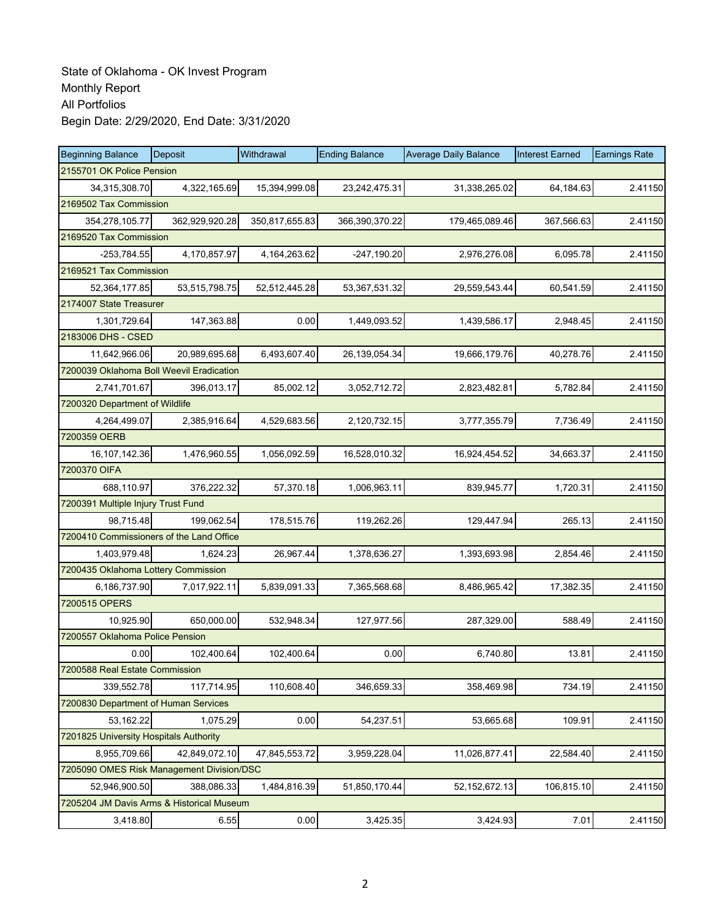| <b>Beginning Balance</b>                  | Deposit        | Withdrawal      | <b>Ending Balance</b> | <b>Average Daily Balance</b> | <b>Interest Earned</b> | <b>Earnings Rate</b> |
|-------------------------------------------|----------------|-----------------|-----------------------|------------------------------|------------------------|----------------------|
| 2155701 OK Police Pension                 |                |                 |                       |                              |                        |                      |
| 34,315,308.70                             | 4,322,165.69   | 15,394,999.08   | 23,242,475.31         | 31,338,265.02                | 64,184.63              | 2.41150              |
| 2169502 Tax Commission                    |                |                 |                       |                              |                        |                      |
| 354,278,105.77                            | 362,929,920.28 | 350,817,655.83  | 366,390,370.22        | 179,465,089.46               | 367,566.63             | 2.41150              |
| 2169520 Tax Commission                    |                |                 |                       |                              |                        |                      |
| $-253,784.55$                             | 4,170,857.97   | 4, 164, 263. 62 | $-247,190.20$         | 2,976,276.08                 | 6,095.78               | 2.41150              |
| 2169521 Tax Commission                    |                |                 |                       |                              |                        |                      |
| 52,364,177.85                             | 53,515,798.75  | 52,512,445.28   | 53,367,531.32         | 29,559,543.44                | 60,541.59              | 2.41150              |
| 2174007 State Treasurer                   |                |                 |                       |                              |                        |                      |
| 1,301,729.64                              | 147,363.88     | 0.00            | 1,449,093.52          | 1,439,586.17                 | 2,948.45               | 2.41150              |
| 2183006 DHS - CSED                        |                |                 |                       |                              |                        |                      |
| 11,642,966.06                             | 20,989,695.68  | 6,493,607.40    | 26, 139, 054. 34      | 19,666,179.76                | 40,278.76              | 2.41150              |
| 7200039 Oklahoma Boll Weevil Eradication  |                |                 |                       |                              |                        |                      |
| 2,741,701.67                              | 396,013.17     | 85,002.12       | 3,052,712.72          | 2,823,482.81                 | 5,782.84               | 2.41150              |
| 7200320 Department of Wildlife            |                |                 |                       |                              |                        |                      |
| 4,264,499.07                              | 2,385,916.64   | 4,529,683.56    | 2,120,732.15          | 3,777,355.79                 | 7,736.49               | 2.41150              |
| 7200359 OERB                              |                |                 |                       |                              |                        |                      |
| 16,107,142.36                             | 1,476,960.55   | 1,056,092.59    | 16,528,010.32         | 16,924,454.52                | 34,663.37              | 2.41150              |
| 7200370 OIFA                              |                |                 |                       |                              |                        |                      |
| 688,110.97                                | 376,222.32     | 57,370.18       | 1,006,963.11          | 839,945.77                   | 1,720.31               | 2.41150              |
| 7200391 Multiple Injury Trust Fund        |                |                 |                       |                              |                        |                      |
| 98,715.48                                 | 199,062.54     | 178,515.76      | 119,262.26            | 129,447.94                   | 265.13                 | 2.41150              |
| 7200410 Commissioners of the Land Office  |                |                 |                       |                              |                        |                      |
| 1,403,979.48                              | 1,624.23       | 26,967.44       | 1,378,636.27          | 1,393,693.98                 | 2,854.46               | 2.41150              |
| 7200435 Oklahoma Lottery Commission       |                |                 |                       |                              |                        |                      |
| 6,186,737.90                              | 7,017,922.11   | 5,839,091.33    | 7,365,568.68          | 8,486,965.42                 | 17,382.35              | 2.41150              |
| 7200515 OPERS                             |                |                 |                       |                              |                        |                      |
| 10,925.90                                 | 650,000.00     | 532,948.34      | 127,977.56            | 287,329.00                   | 588.49                 | 2.41150              |
| 7200557 Oklahoma Police Pension           |                |                 |                       |                              |                        |                      |
| 0.00                                      | 102,400.64     | 102,400.64      | 0.00                  | 6,740.80                     | 13.81                  | 2.41150              |
| 7200588 Real Estate Commission            |                |                 |                       |                              |                        |                      |
| 339,552.78                                | 117,714.95     | 110,608.40      | 346,659.33            | 358,469.98                   | 734.19                 | 2.41150              |
| 7200830 Department of Human Services      |                |                 |                       |                              |                        |                      |
| 53,162.22                                 | 1,075.29       | 0.00            | 54,237.51             | 53,665.68                    | 109.91                 | 2.41150              |
| 7201825 University Hospitals Authority    |                |                 |                       |                              |                        |                      |
| 8,955,709.66                              | 42,849,072.10  | 47,845,553.72   | 3,959,228.04          | 11,026,877.41                | 22,584.40              | 2.41150              |
| 7205090 OMES Risk Management Division/DSC |                |                 |                       |                              |                        |                      |
| 52,946,900.50                             | 388,086.33     | 1,484,816.39    | 51,850,170.44         | 52, 152, 672. 13             | 106,815.10             | 2.41150              |
| 7205204 JM Davis Arms & Historical Museum |                |                 |                       |                              |                        |                      |
| 3,418.80                                  | 6.55           | 0.00            | 3,425.35              | 3,424.93                     | 7.01                   | 2.41150              |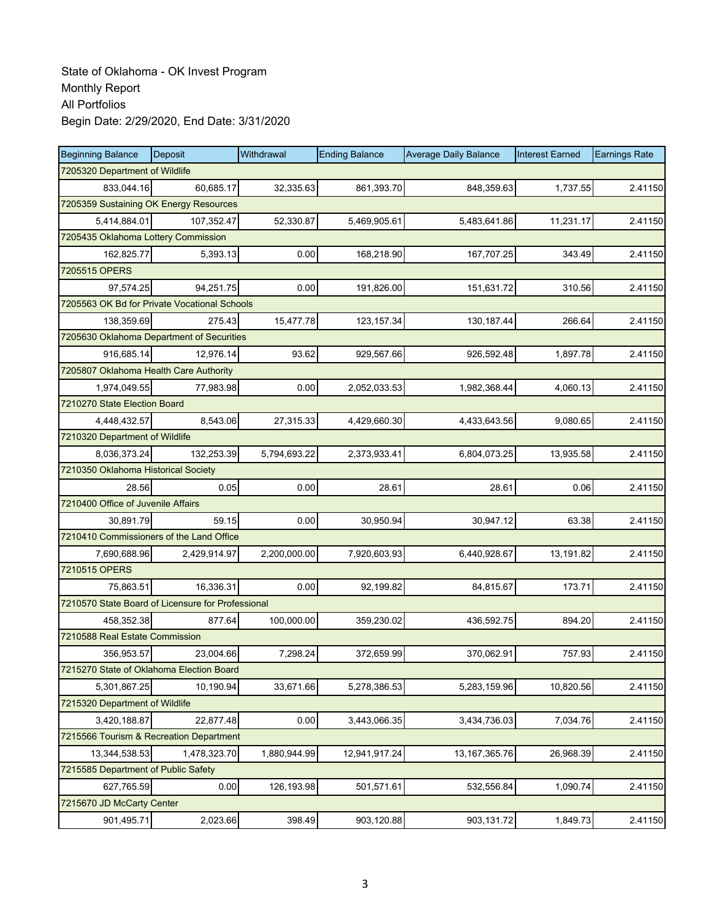| <b>Beginning Balance</b>                          | Deposit      | Withdrawal   | <b>Ending Balance</b> | <b>Average Daily Balance</b> | <b>Interest Earned</b> | <b>Earnings Rate</b> |  |  |
|---------------------------------------------------|--------------|--------------|-----------------------|------------------------------|------------------------|----------------------|--|--|
| 7205320 Department of Wildlife                    |              |              |                       |                              |                        |                      |  |  |
| 833,044.16                                        | 60,685.17    | 32,335.63    | 861,393.70            | 848,359.63                   | 1,737.55               | 2.41150              |  |  |
| 7205359 Sustaining OK Energy Resources            |              |              |                       |                              |                        |                      |  |  |
| 5,414,884.01                                      | 107,352.47   | 52,330.87    | 5,469,905.61          | 5,483,641.86                 | 11,231.17              | 2.41150              |  |  |
| 7205435 Oklahoma Lottery Commission               |              |              |                       |                              |                        |                      |  |  |
| 162,825.77                                        | 5,393.13     | 0.00         | 168,218.90            | 167,707.25                   | 343.49                 | 2.41150              |  |  |
| 7205515 OPERS                                     |              |              |                       |                              |                        |                      |  |  |
| 97,574.25                                         | 94,251.75    | 0.00         | 191,826.00            | 151,631.72                   | 310.56                 | 2.41150              |  |  |
| 7205563 OK Bd for Private Vocational Schools      |              |              |                       |                              |                        |                      |  |  |
| 138,359.69                                        | 275.43       | 15,477.78    | 123, 157.34           | 130,187.44                   | 266.64                 | 2.41150              |  |  |
| 7205630 Oklahoma Department of Securities         |              |              |                       |                              |                        |                      |  |  |
| 916,685.14                                        | 12,976.14    | 93.62        | 929,567.66            | 926,592.48                   | 1,897.78               | 2.41150              |  |  |
| 7205807 Oklahoma Health Care Authority            |              |              |                       |                              |                        |                      |  |  |
| 1,974,049.55                                      | 77.983.98    | 0.00         | 2,052,033.53          | 1,982,368.44                 | 4,060.13               | 2.41150              |  |  |
| 7210270 State Election Board                      |              |              |                       |                              |                        |                      |  |  |
| 4,448,432.57                                      | 8,543.06     | 27,315.33    | 4,429,660.30          | 4,433,643.56                 | 9,080.65               | 2.41150              |  |  |
| 7210320 Department of Wildlife                    |              |              |                       |                              |                        |                      |  |  |
| 8,036,373.24                                      | 132,253.39   | 5,794,693.22 | 2,373,933.41          | 6,804,073.25                 | 13,935.58              | 2.41150              |  |  |
| 7210350 Oklahoma Historical Society               |              |              |                       |                              |                        |                      |  |  |
| 28.56                                             | 0.05         | 0.00         | 28.61                 | 28.61                        | 0.06                   | 2.41150              |  |  |
| 7210400 Office of Juvenile Affairs                |              |              |                       |                              |                        |                      |  |  |
| 30,891.79                                         | 59.15        | 0.00         | 30,950.94             | 30,947.12                    | 63.38                  | 2.41150              |  |  |
| 7210410 Commissioners of the Land Office          |              |              |                       |                              |                        |                      |  |  |
| 7,690,688.96                                      | 2,429,914.97 | 2,200,000.00 | 7,920,603.93          | 6,440,928.67                 | 13,191.82              | 2.41150              |  |  |
| 7210515 OPERS                                     |              |              |                       |                              |                        |                      |  |  |
| 75,863.51                                         | 16,336.31    | 0.00         | 92,199.82             | 84,815.67                    | 173.71                 | 2.41150              |  |  |
| 7210570 State Board of Licensure for Professional |              |              |                       |                              |                        |                      |  |  |
| 458,352.38                                        | 877.64       | 100.000.00   | 359,230.02            | 436,592.75                   | 894.20                 | 2.41150              |  |  |
| 7210588 Real Estate Commission                    |              |              |                       |                              |                        |                      |  |  |
| 356,953.57                                        | 23,004.66    | 7,298.24     | 372,659.99            | 370,062.91                   | 757.93                 | 2.41150              |  |  |
| 7215270 State of Oklahoma Election Board          |              |              |                       |                              |                        |                      |  |  |
| 5,301,867.25                                      | 10,190.94    | 33,671.66    | 5,278,386.53          | 5,283,159.96                 | 10,820.56              | 2.41150              |  |  |
| 7215320 Department of Wildlife                    |              |              |                       |                              |                        |                      |  |  |
| 3,420,188.87                                      | 22,877.48    | 0.00         | 3,443,066.35          | 3,434,736.03                 | 7,034.76               | 2.41150              |  |  |
| 7215566 Tourism & Recreation Department           |              |              |                       |                              |                        |                      |  |  |
| 13,344,538.53                                     | 1,478,323.70 | 1,880,944.99 | 12,941,917.24         | 13, 167, 365. 76             | 26,968.39              | 2.41150              |  |  |
| 7215585 Department of Public Safety               |              |              |                       |                              |                        |                      |  |  |
| 627,765.59                                        | 0.00         | 126,193.98   | 501,571.61            | 532,556.84                   | 1,090.74               | 2.41150              |  |  |
| 7215670 JD McCarty Center                         |              |              |                       |                              |                        |                      |  |  |
| 901,495.71                                        | 2,023.66     | 398.49       | 903,120.88            | 903,131.72                   | 1,849.73               | 2.41150              |  |  |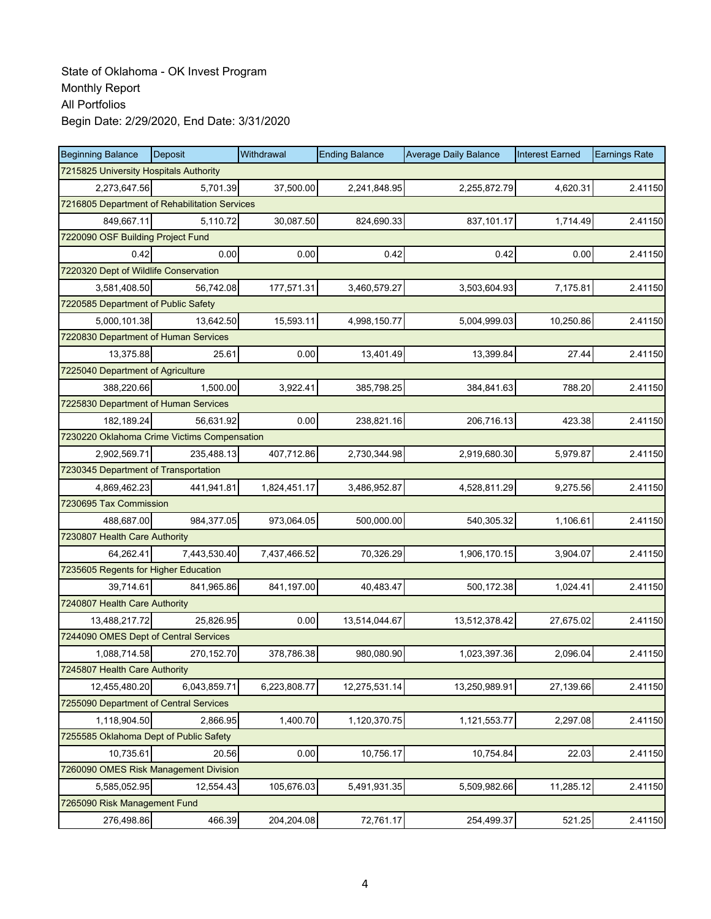| <b>Beginning Balance</b>                      | Deposit      | Withdrawal   | <b>Ending Balance</b> | <b>Average Daily Balance</b> | <b>Interest Earned</b> | <b>Earnings Rate</b> |
|-----------------------------------------------|--------------|--------------|-----------------------|------------------------------|------------------------|----------------------|
| 7215825 University Hospitals Authority        |              |              |                       |                              |                        |                      |
| 2,273,647.56                                  | 5,701.39     | 37,500.00    | 2,241,848.95          | 2,255,872.79                 | 4,620.31               | 2.41150              |
| 7216805 Department of Rehabilitation Services |              |              |                       |                              |                        |                      |
| 849,667.11                                    | 5,110.72     | 30,087.50    | 824,690.33            | 837,101.17                   | 1,714.49               | 2.41150              |
| 7220090 OSF Building Project Fund             |              |              |                       |                              |                        |                      |
| 0.42                                          | 0.00         | 0.00         | 0.42                  | 0.42                         | 0.00                   | 2.41150              |
| 7220320 Dept of Wildlife Conservation         |              |              |                       |                              |                        |                      |
| 3,581,408.50                                  | 56,742.08    | 177,571.31   | 3,460,579.27          | 3,503,604.93                 | 7,175.81               | 2.41150              |
| 7220585 Department of Public Safety           |              |              |                       |                              |                        |                      |
| 5,000,101.38                                  | 13,642.50    | 15,593.11    | 4,998,150.77          | 5,004,999.03                 | 10,250.86              | 2.41150              |
| 7220830 Department of Human Services          |              |              |                       |                              |                        |                      |
| 13,375.88                                     | 25.61        | 0.00         | 13,401.49             | 13,399.84                    | 27.44                  | 2.41150              |
| 7225040 Department of Agriculture             |              |              |                       |                              |                        |                      |
| 388,220.66                                    | 1,500.00     | 3,922.41     | 385,798.25            | 384,841.63                   | 788.20                 | 2.41150              |
| 7225830 Department of Human Services          |              |              |                       |                              |                        |                      |
| 182,189.24                                    | 56,631.92    | 0.00         | 238,821.16            | 206,716.13                   | 423.38                 | 2.41150              |
| 7230220 Oklahoma Crime Victims Compensation   |              |              |                       |                              |                        |                      |
| 2,902,569.71                                  | 235,488.13   | 407,712.86   | 2,730,344.98          | 2,919,680.30                 | 5,979.87               | 2.41150              |
| 7230345 Department of Transportation          |              |              |                       |                              |                        |                      |
| 4,869,462.23                                  | 441,941.81   | 1,824,451.17 | 3,486,952.87          | 4,528,811.29                 | 9,275.56               | 2.41150              |
| 7230695 Tax Commission                        |              |              |                       |                              |                        |                      |
| 488,687.00                                    | 984,377.05   | 973,064.05   | 500,000.00            | 540,305.32                   | 1,106.61               | 2.41150              |
| 7230807 Health Care Authority                 |              |              |                       |                              |                        |                      |
| 64,262.41                                     | 7,443,530.40 | 7,437,466.52 | 70,326.29             | 1,906,170.15                 | 3,904.07               | 2.41150              |
| 7235605 Regents for Higher Education          |              |              |                       |                              |                        |                      |
| 39,714.61                                     | 841,965.86   | 841,197.00   | 40,483.47             | 500,172.38                   | 1,024.41               | 2.41150              |
| 7240807 Health Care Authority                 |              |              |                       |                              |                        |                      |
| 13,488,217.72                                 | 25,826.95    | 0.00         | 13,514,044.67         | 13,512,378.42                | 27,675.02              | 2.41150              |
| 7244090 OMES Dept of Central Services         |              |              |                       |                              |                        |                      |
| 1,088,714.58                                  | 270,152.70   | 378,786.38   | 980,080.90            | 1,023,397.36                 | 2,096.04               | 2.41150              |
| 7245807 Health Care Authority                 |              |              |                       |                              |                        |                      |
| 12,455,480.20                                 | 6,043,859.71 | 6,223,808.77 | 12,275,531.14         | 13,250,989.91                | 27,139.66              | 2.41150              |
| 7255090 Department of Central Services        |              |              |                       |                              |                        |                      |
| 1,118,904.50                                  | 2,866.95     | 1,400.70     | 1,120,370.75          | 1,121,553.77                 | 2,297.08               | 2.41150              |
| 7255585 Oklahoma Dept of Public Safety        |              |              |                       |                              |                        |                      |
| 10,735.61                                     | 20.56        | 0.00         | 10,756.17             | 10,754.84                    | 22.03                  | 2.41150              |
| 7260090 OMES Risk Management Division         |              |              |                       |                              |                        |                      |
| 5,585,052.95                                  | 12,554.43    | 105,676.03   | 5,491,931.35          | 5,509,982.66                 | 11,285.12              | 2.41150              |
| 7265090 Risk Management Fund                  |              |              |                       |                              |                        |                      |
| 276,498.86                                    | 466.39       | 204,204.08   | 72,761.17             | 254,499.37                   | 521.25                 | 2.41150              |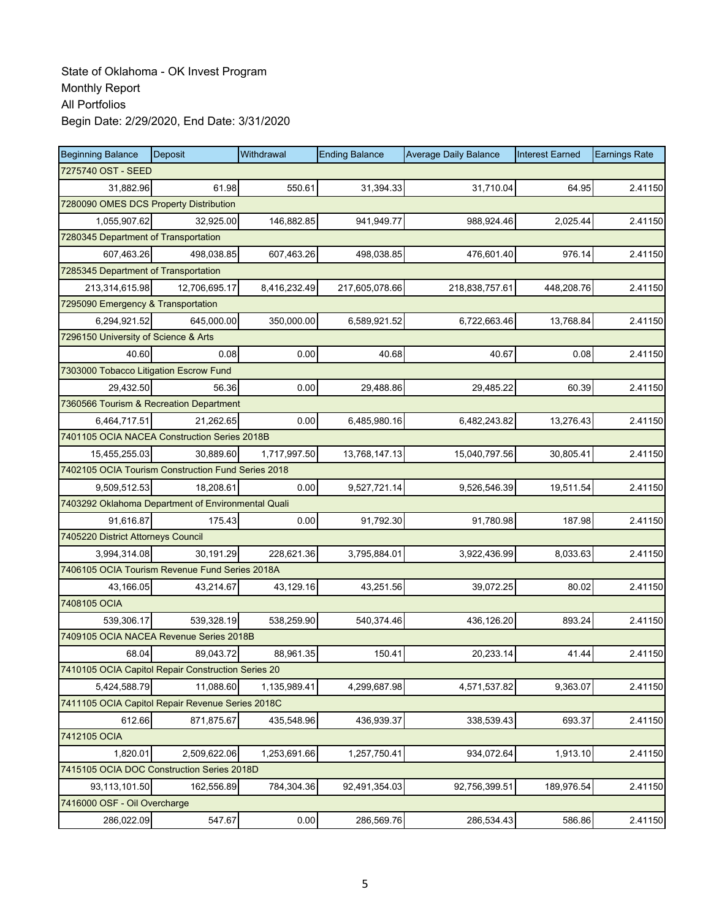| <b>Beginning Balance</b>                           | <b>Deposit</b> | Withdrawal   | <b>Ending Balance</b> | <b>Average Daily Balance</b> | <b>Interest Earned</b> | <b>Earnings Rate</b> |
|----------------------------------------------------|----------------|--------------|-----------------------|------------------------------|------------------------|----------------------|
| 7275740 OST - SEED                                 |                |              |                       |                              |                        |                      |
| 31,882.96                                          | 61.98          | 550.61       | 31,394.33             | 31,710.04                    | 64.95                  | 2.41150              |
| 7280090 OMES DCS Property Distribution             |                |              |                       |                              |                        |                      |
| 1,055,907.62                                       | 32,925.00      | 146,882.85   | 941,949.77            | 988,924.46                   | 2,025.44               | 2.41150              |
| 7280345 Department of Transportation               |                |              |                       |                              |                        |                      |
| 607,463.26                                         | 498,038.85     | 607,463.26   | 498,038.85            | 476,601.40                   | 976.14                 | 2.41150              |
| 7285345 Department of Transportation               |                |              |                       |                              |                        |                      |
| 213,314,615.98                                     | 12,706,695.17  | 8,416,232.49 | 217,605,078.66        | 218,838,757.61               | 448,208.76             | 2.41150              |
| 7295090 Emergency & Transportation                 |                |              |                       |                              |                        |                      |
| 6,294,921.52                                       | 645,000.00     | 350,000.00   | 6,589,921.52          | 6,722,663.46                 | 13,768.84              | 2.41150              |
| 7296150 University of Science & Arts               |                |              |                       |                              |                        |                      |
| 40.60                                              | 0.08           | 0.00         | 40.68                 | 40.67                        | 0.08                   | 2.41150              |
| 7303000 Tobacco Litigation Escrow Fund             |                |              |                       |                              |                        |                      |
| 29,432.50                                          | 56.36          | 0.00         | 29,488.86             | 29,485.22                    | 60.39                  | 2.41150              |
| 7360566 Tourism & Recreation Department            |                |              |                       |                              |                        |                      |
| 6,464,717.51                                       | 21,262.65      | 0.00         | 6,485,980.16          | 6,482,243.82                 | 13,276.43              | 2.41150              |
| 7401105 OCIA NACEA Construction Series 2018B       |                |              |                       |                              |                        |                      |
| 15,455,255.03                                      | 30,889.60      | 1,717,997.50 | 13,768,147.13         | 15,040,797.56                | 30.805.41              | 2.41150              |
| 7402105 OCIA Tourism Construction Fund Series 2018 |                |              |                       |                              |                        |                      |
| 9,509,512.53                                       | 18,208.61      | 0.00         | 9,527,721.14          | 9,526,546.39                 | 19,511.54              | 2.41150              |
| 7403292 Oklahoma Department of Environmental Quali |                |              |                       |                              |                        |                      |
| 91,616.87                                          | 175.43         | 0.00         | 91,792.30             | 91,780.98                    | 187.98                 | 2.41150              |
| 7405220 District Attorneys Council                 |                |              |                       |                              |                        |                      |
| 3,994,314.08                                       | 30,191.29      | 228,621.36   | 3,795,884.01          | 3,922,436.99                 | 8,033.63               | 2.41150              |
| 7406105 OCIA Tourism Revenue Fund Series 2018A     |                |              |                       |                              |                        |                      |
| 43,166.05                                          | 43,214.67      | 43,129.16    | 43,251.56             | 39,072.25                    | 80.02                  | 2.41150              |
| 7408105 OCIA                                       |                |              |                       |                              |                        |                      |
| 539,306.17                                         | 539,328.19     | 538,259.90   | 540,374.46            | 436,126.20                   | 893.24                 | 2.41150              |
| 7409105 OCIA NACEA Revenue Series 2018B            |                |              |                       |                              |                        |                      |
| 68.04                                              | 89,043.72      | 88,961.35    | 150.41                | 20,233.14                    | 41.44                  | 2.41150              |
| 7410105 OCIA Capitol Repair Construction Series 20 |                |              |                       |                              |                        |                      |
| 5,424,588.79                                       | 11,088.60      | 1,135,989.41 | 4,299,687.98          | 4,571,537.82                 | 9,363.07               | 2.41150              |
| 7411105 OCIA Capitol Repair Revenue Series 2018C   |                |              |                       |                              |                        |                      |
| 612.66                                             | 871,875.67     | 435,548.96   | 436,939.37            | 338,539.43                   | 693.37                 | 2.41150              |
| 7412105 OCIA                                       |                |              |                       |                              |                        |                      |
| 1,820.01                                           | 2,509,622.06   | 1,253,691.66 | 1,257,750.41          | 934,072.64                   | 1,913.10               | 2.41150              |
| 7415105 OCIA DOC Construction Series 2018D         |                |              |                       |                              |                        |                      |
| 93,113,101.50                                      | 162,556.89     | 784,304.36   | 92,491,354.03         | 92,756,399.51                | 189,976.54             | 2.41150              |
| 7416000 OSF - Oil Overcharge                       |                |              |                       |                              |                        |                      |
| 286,022.09                                         | 547.67         | 0.00         | 286,569.76            | 286,534.43                   | 586.86                 | 2.41150              |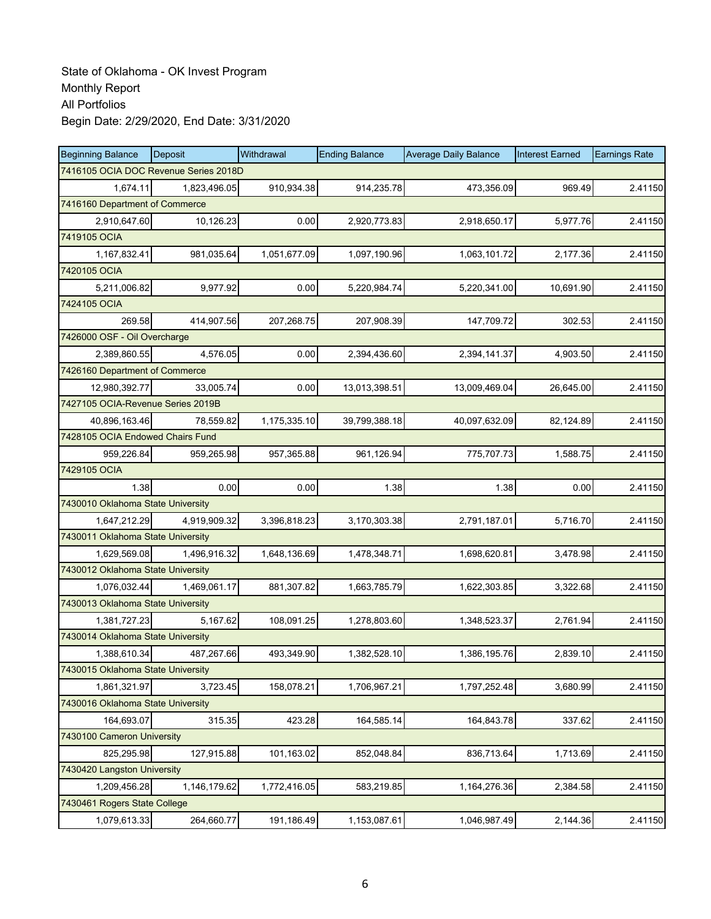| <b>Beginning Balance</b>          | Deposit                               | Withdrawal   | <b>Ending Balance</b> | <b>Average Daily Balance</b> | <b>Interest Earned</b> | <b>Earnings Rate</b> |
|-----------------------------------|---------------------------------------|--------------|-----------------------|------------------------------|------------------------|----------------------|
|                                   | 7416105 OCIA DOC Revenue Series 2018D |              |                       |                              |                        |                      |
| 1,674.11                          | 1,823,496.05                          | 910,934.38   | 914,235.78            | 473,356.09                   | 969.49                 | 2.41150              |
| 7416160 Department of Commerce    |                                       |              |                       |                              |                        |                      |
| 2,910,647.60                      | 10,126.23                             | 0.00         | 2,920,773.83          | 2,918,650.17                 | 5,977.76               | 2.41150              |
| 7419105 OCIA                      |                                       |              |                       |                              |                        |                      |
| 1,167,832.41                      | 981,035.64                            | 1,051,677.09 | 1,097,190.96          | 1,063,101.72                 | 2,177.36               | 2.41150              |
| 7420105 OCIA                      |                                       |              |                       |                              |                        |                      |
| 5,211,006.82                      | 9,977.92                              | 0.00         | 5,220,984.74          | 5,220,341.00                 | 10,691.90              | 2.41150              |
| 7424105 OCIA                      |                                       |              |                       |                              |                        |                      |
| 269.58                            | 414,907.56                            | 207,268.75   | 207,908.39            | 147,709.72                   | 302.53                 | 2.41150              |
| 7426000 OSF - Oil Overcharge      |                                       |              |                       |                              |                        |                      |
| 2,389,860.55                      | 4,576.05                              | 0.00         | 2,394,436.60          | 2,394,141.37                 | 4,903.50               | 2.41150              |
| 7426160 Department of Commerce    |                                       |              |                       |                              |                        |                      |
| 12,980,392.77                     | 33,005.74                             | 0.00         | 13,013,398.51         | 13,009,469.04                | 26,645.00              | 2.41150              |
| 7427105 OCIA-Revenue Series 2019B |                                       |              |                       |                              |                        |                      |
| 40,896,163.46                     | 78,559.82                             | 1,175,335.10 | 39,799,388.18         | 40,097,632.09                | 82,124.89              | 2.41150              |
| 7428105 OCIA Endowed Chairs Fund  |                                       |              |                       |                              |                        |                      |
| 959,226.84                        | 959,265.98                            | 957,365.88   | 961,126.94            | 775,707.73                   | 1,588.75               | 2.41150              |
| 7429105 OCIA                      |                                       |              |                       |                              |                        |                      |
| 1.38                              | 0.00                                  | 0.00         | 1.38                  | 1.38                         | 0.00                   | 2.41150              |
| 7430010 Oklahoma State University |                                       |              |                       |                              |                        |                      |
| 1,647,212.29                      | 4,919,909.32                          | 3,396,818.23 | 3,170,303.38          | 2,791,187.01                 | 5,716.70               | 2.41150              |
| 7430011 Oklahoma State University |                                       |              |                       |                              |                        |                      |
| 1,629,569.08                      | 1,496,916.32                          | 1,648,136.69 | 1,478,348.71          | 1,698,620.81                 | 3,478.98               | 2.41150              |
| 7430012 Oklahoma State University |                                       |              |                       |                              |                        |                      |
| 1,076,032.44                      | 1,469,061.17                          | 881,307.82   | 1,663,785.79          | 1,622,303.85                 | 3,322.68               | 2.41150              |
| 7430013 Oklahoma State University |                                       |              |                       |                              |                        |                      |
| 1,381,727.23                      | 5,167.62                              | 108,091.25   | 1,278,803.60          | 1,348,523.37                 | 2,761.94               | 2.41150              |
| 7430014 Oklahoma State University |                                       |              |                       |                              |                        |                      |
| 1,388,610.34                      | 487,267.66                            | 493,349.90   | 1,382,528.10          | 1,386,195.76                 | 2,839.10               | 2.41150              |
| 7430015 Oklahoma State University |                                       |              |                       |                              |                        |                      |
| 1,861,321.97                      | 3,723.45                              | 158,078.21   | 1,706,967.21          | 1,797,252.48                 | 3,680.99               | 2.41150              |
| 7430016 Oklahoma State University |                                       |              |                       |                              |                        |                      |
| 164,693.07                        | 315.35                                | 423.28       | 164,585.14            | 164,843.78                   | 337.62                 | 2.41150              |
| 7430100 Cameron University        |                                       |              |                       |                              |                        |                      |
| 825,295.98                        | 127,915.88                            | 101,163.02   | 852,048.84            | 836,713.64                   | 1,713.69               | 2.41150              |
| 7430420 Langston University       |                                       |              |                       |                              |                        |                      |
| 1,209,456.28                      | 1,146,179.62                          | 1,772,416.05 | 583,219.85            | 1,164,276.36                 | 2,384.58               | 2.41150              |
| 7430461 Rogers State College      |                                       |              |                       |                              |                        |                      |
| 1,079,613.33                      | 264,660.77                            | 191,186.49   | 1,153,087.61          | 1,046,987.49                 | 2,144.36               | 2.41150              |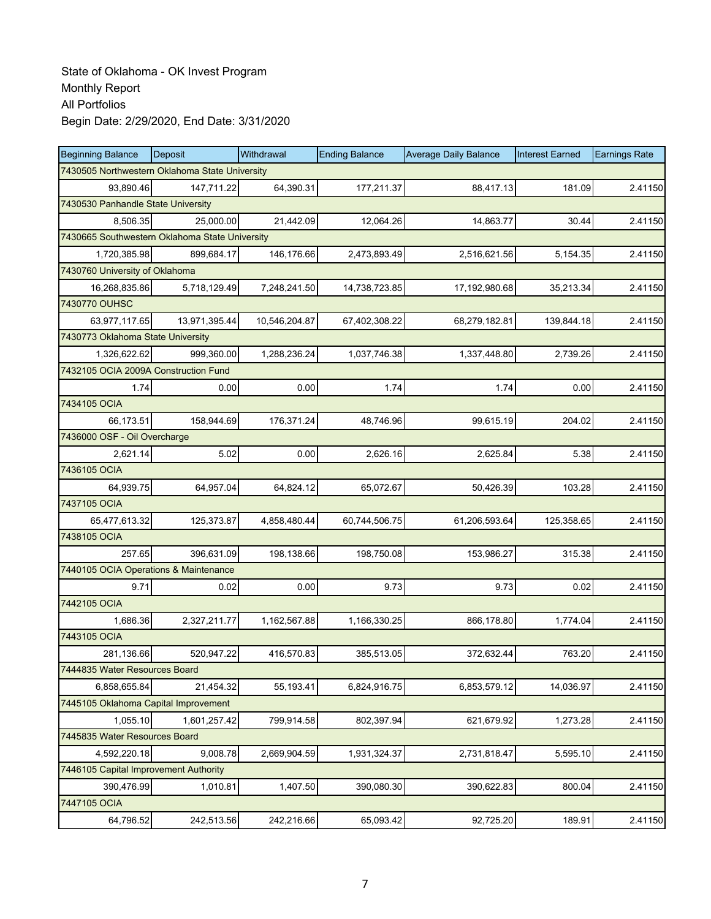| <b>Beginning Balance</b>                       | <b>Deposit</b> | Withdrawal    | <b>Ending Balance</b> | <b>Average Daily Balance</b> | <b>Interest Earned</b> | <b>Earnings Rate</b> |
|------------------------------------------------|----------------|---------------|-----------------------|------------------------------|------------------------|----------------------|
| 7430505 Northwestern Oklahoma State University |                |               |                       |                              |                        |                      |
| 93,890.46                                      | 147,711.22     | 64,390.31     | 177,211.37            | 88,417.13                    | 181.09                 | 2.41150              |
| 7430530 Panhandle State University             |                |               |                       |                              |                        |                      |
| 8,506.35                                       | 25,000.00      | 21,442.09     | 12,064.26             | 14,863.77                    | 30.44                  | 2.41150              |
| 7430665 Southwestern Oklahoma State University |                |               |                       |                              |                        |                      |
| 1,720,385.98                                   | 899,684.17     | 146,176.66    | 2,473,893.49          | 2,516,621.56                 | 5,154.35               | 2.41150              |
| 7430760 University of Oklahoma                 |                |               |                       |                              |                        |                      |
| 16,268,835.86                                  | 5,718,129.49   | 7,248,241.50  | 14,738,723.85         | 17,192,980.68                | 35,213.34              | 2.41150              |
| 7430770 OUHSC                                  |                |               |                       |                              |                        |                      |
| 63,977,117.65                                  | 13,971,395.44  | 10,546,204.87 | 67,402,308.22         | 68,279,182.81                | 139,844.18             | 2.41150              |
| 7430773 Oklahoma State University              |                |               |                       |                              |                        |                      |
| 1,326,622.62                                   | 999,360.00     | 1,288,236.24  | 1,037,746.38          | 1,337,448.80                 | 2,739.26               | 2.41150              |
| 7432105 OCIA 2009A Construction Fund           |                |               |                       |                              |                        |                      |
| 1.74                                           | 0.00           | 0.00          | 1.74                  | 1.74                         | 0.00                   | 2.41150              |
| 7434105 OCIA                                   |                |               |                       |                              |                        |                      |
| 66,173.51                                      | 158,944.69     | 176,371.24    | 48.746.96             | 99,615.19                    | 204.02                 | 2.41150              |
| 7436000 OSF - Oil Overcharge                   |                |               |                       |                              |                        |                      |
| 2,621.14                                       | 5.02           | 0.00          | 2,626.16              | 2.625.84                     | 5.38                   | 2.41150              |
| 7436105 OCIA                                   |                |               |                       |                              |                        |                      |
| 64,939.75                                      | 64,957.04      | 64,824.12     | 65,072.67             | 50,426.39                    | 103.28                 | 2.41150              |
| 7437105 OCIA                                   |                |               |                       |                              |                        |                      |
| 65,477,613.32                                  | 125,373.87     | 4,858,480.44  | 60,744,506.75         | 61,206,593.64                | 125,358.65             | 2.41150              |
| 7438105 OCIA                                   |                |               |                       |                              |                        |                      |
| 257.65                                         | 396,631.09     | 198,138.66    | 198,750.08            | 153,986.27                   | 315.38                 | 2.41150              |
| 7440105 OCIA Operations & Maintenance          |                |               |                       |                              |                        |                      |
| 9.71                                           | 0.02           | 0.00          | 9.73                  | 9.73                         | 0.02                   | 2.41150              |
| 7442105 OCIA                                   |                |               |                       |                              |                        |                      |
| 1,686.36                                       | 2,327,211.77   | 1,162,567.88  | 1,166,330.25          | 866,178.80                   | 1,774.04               | 2.41150              |
| 7443105 OCIA                                   |                |               |                       |                              |                        |                      |
| 281,136.66                                     | 520,947.22     | 416,570.83    | 385,513.05            | 372,632.44                   | 763.20                 | 2.41150              |
| 7444835 Water Resources Board                  |                |               |                       |                              |                        |                      |
| 6,858,655.84                                   | 21,454.32      | 55,193.41     | 6,824,916.75          | 6,853,579.12                 | 14.036.97              | 2.41150              |
| 7445105 Oklahoma Capital Improvement           |                |               |                       |                              |                        |                      |
| 1,055.10                                       | 1,601,257.42   | 799,914.58    | 802,397.94            | 621,679.92                   | 1,273.28               | 2.41150              |
| 7445835 Water Resources Board                  |                |               |                       |                              |                        |                      |
| 4,592,220.18                                   | 9,008.78       | 2,669,904.59  | 1,931,324.37          | 2,731,818.47                 | 5,595.10               | 2.41150              |
| 7446105 Capital Improvement Authority          |                |               |                       |                              |                        |                      |
| 390,476.99                                     | 1,010.81       | 1,407.50      | 390,080.30            | 390,622.83                   | 800.04                 | 2.41150              |
| 7447105 OCIA                                   |                |               |                       |                              |                        |                      |
| 64,796.52                                      | 242,513.56     | 242,216.66    | 65,093.42             | 92,725.20                    | 189.91                 | 2.41150              |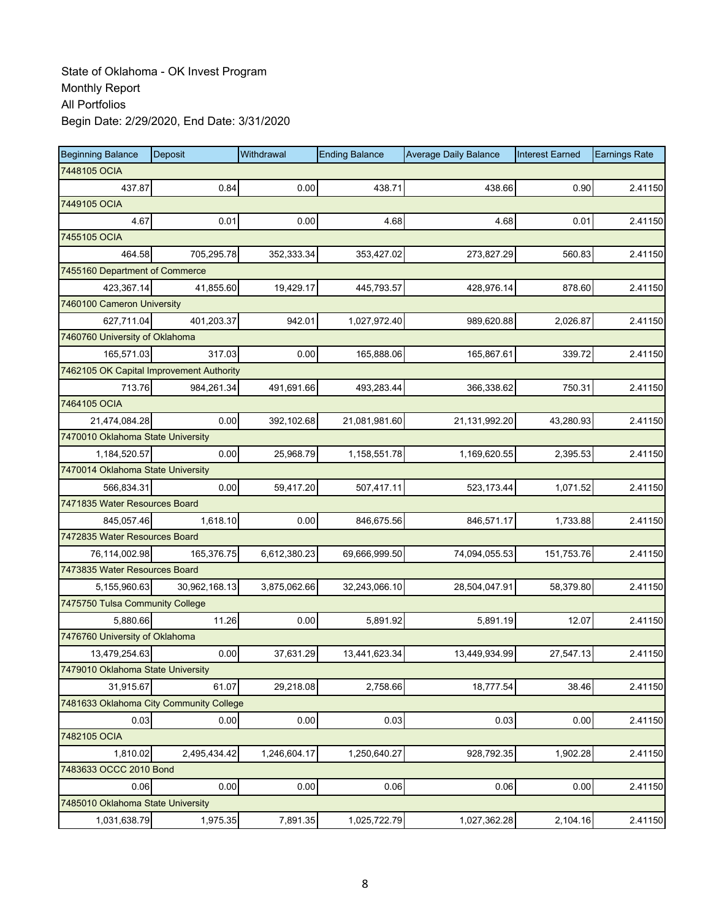| <b>Beginning Balance</b>                 | <b>Deposit</b> | Withdrawal   | <b>Ending Balance</b> | <b>Average Daily Balance</b> | <b>Interest Earned</b> | <b>Earnings Rate</b> |
|------------------------------------------|----------------|--------------|-----------------------|------------------------------|------------------------|----------------------|
| 7448105 OCIA                             |                |              |                       |                              |                        |                      |
| 437.87                                   | 0.84           | 0.00         | 438.71                | 438.66                       | 0.90                   | 2.41150              |
| 7449105 OCIA                             |                |              |                       |                              |                        |                      |
| 4.67                                     | 0.01           | 0.00         | 4.68                  | 4.68                         | 0.01                   | 2.41150              |
| 7455105 OCIA                             |                |              |                       |                              |                        |                      |
| 464.58                                   | 705,295.78     | 352,333.34   | 353,427.02            | 273,827.29                   | 560.83                 | 2.41150              |
| 7455160 Department of Commerce           |                |              |                       |                              |                        |                      |
| 423,367.14                               | 41,855.60      | 19,429.17    | 445,793.57            | 428,976.14                   | 878.60                 | 2.41150              |
| 7460100 Cameron University               |                |              |                       |                              |                        |                      |
| 627,711.04                               | 401,203.37     | 942.01       | 1,027,972.40          | 989,620.88                   | 2,026.87               | 2.41150              |
| 7460760 University of Oklahoma           |                |              |                       |                              |                        |                      |
| 165,571.03                               | 317.03         | 0.00         | 165,888.06            | 165,867.61                   | 339.72                 | 2.41150              |
| 7462105 OK Capital Improvement Authority |                |              |                       |                              |                        |                      |
| 713.76                                   | 984,261.34     | 491,691.66   | 493,283.44            | 366,338.62                   | 750.31                 | 2.41150              |
| 7464105 OCIA                             |                |              |                       |                              |                        |                      |
| 21,474,084.28                            | 0.00           | 392,102.68   | 21,081,981.60         | 21,131,992.20                | 43,280.93              | 2.41150              |
| 7470010 Oklahoma State University        |                |              |                       |                              |                        |                      |
| 1,184,520.57                             | 0.00           | 25,968.79    | 1,158,551.78          | 1,169,620.55                 | 2,395.53               | 2.41150              |
| 7470014 Oklahoma State University        |                |              |                       |                              |                        |                      |
| 566,834.31                               | 0.00           | 59,417.20    | 507,417.11            | 523,173.44                   | 1,071.52               | 2.41150              |
| 7471835 Water Resources Board            |                |              |                       |                              |                        |                      |
| 845,057.46                               | 1,618.10       | 0.00         | 846,675.56            | 846,571.17                   | 1,733.88               | 2.41150              |
| 7472835 Water Resources Board            |                |              |                       |                              |                        |                      |
| 76,114,002.98                            | 165,376.75     | 6,612,380.23 | 69,666,999.50         | 74,094,055.53                | 151,753.76             | 2.41150              |
| 7473835 Water Resources Board            |                |              |                       |                              |                        |                      |
| 5,155,960.63                             | 30,962,168.13  | 3,875,062.66 | 32,243,066.10         | 28,504,047.91                | 58,379.80              | 2.41150              |
| 7475750 Tulsa Community College          |                |              |                       |                              |                        |                      |
| 5,880.66                                 | 11.26          | 0.00         | 5,891.92              | 5,891.19                     | 12.07                  | 2.41150              |
| 7476760 University of Oklahoma           |                |              |                       |                              |                        |                      |
| 13,479,254.63                            | 0.00           | 37,631.29    | 13,441,623.34         | 13,449,934.99                | 27,547.13              | 2.41150              |
| 7479010 Oklahoma State University        |                |              |                       |                              |                        |                      |
| 31,915.67                                | 61.07          | 29,218.08    | 2,758.66              | 18,777.54                    | 38.46                  | 2.41150              |
| 7481633 Oklahoma City Community College  |                |              |                       |                              |                        |                      |
| 0.03                                     | 0.00           | 0.00         | 0.03                  | 0.03                         | 0.00                   | 2.41150              |
| 7482105 OCIA                             |                |              |                       |                              |                        |                      |
| 1,810.02                                 | 2,495,434.42   | 1,246,604.17 | 1,250,640.27          | 928,792.35                   | 1,902.28               | 2.41150              |
| 7483633 OCCC 2010 Bond                   |                |              |                       |                              |                        |                      |
| 0.06                                     | 0.00           | 0.00         | 0.06                  | 0.06                         | 0.00                   | 2.41150              |
| 7485010 Oklahoma State University        |                |              |                       |                              |                        |                      |
| 1,031,638.79                             | 1,975.35       | 7,891.35     | 1,025,722.79          | 1,027,362.28                 | 2,104.16               | 2.41150              |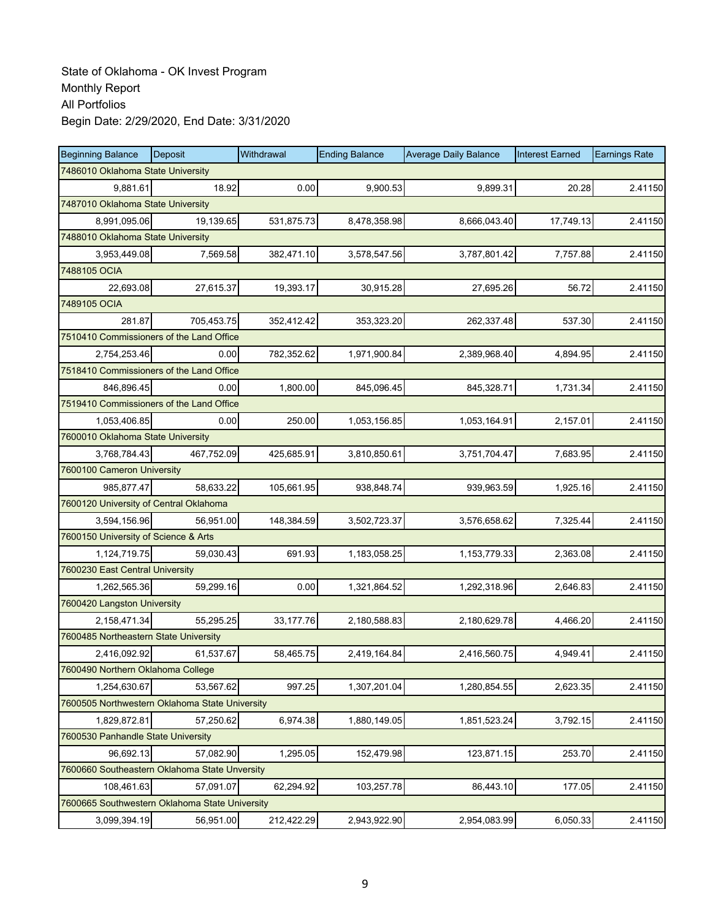| <b>Beginning Balance</b>                       | Deposit    | Withdrawal | <b>Ending Balance</b> | <b>Average Daily Balance</b> | <b>Interest Earned</b> | <b>Earnings Rate</b> |  |  |
|------------------------------------------------|------------|------------|-----------------------|------------------------------|------------------------|----------------------|--|--|
| 7486010 Oklahoma State University              |            |            |                       |                              |                        |                      |  |  |
| 9,881.61                                       | 18.92      | 0.00       | 9,900.53              | 9,899.31                     | 20.28                  | 2.41150              |  |  |
| 7487010 Oklahoma State University              |            |            |                       |                              |                        |                      |  |  |
| 8,991,095.06                                   | 19,139.65  | 531,875.73 | 8,478,358.98          | 8,666,043.40                 | 17,749.13              | 2.41150              |  |  |
| 7488010 Oklahoma State University              |            |            |                       |                              |                        |                      |  |  |
| 3,953,449.08                                   | 7,569.58   | 382,471.10 | 3,578,547.56          | 3,787,801.42                 | 7,757.88               | 2.41150              |  |  |
| 7488105 OCIA                                   |            |            |                       |                              |                        |                      |  |  |
| 22,693.08                                      | 27,615.37  | 19,393.17  | 30,915.28             | 27,695.26                    | 56.72                  | 2.41150              |  |  |
| 7489105 OCIA                                   |            |            |                       |                              |                        |                      |  |  |
| 281.87                                         | 705,453.75 | 352,412.42 | 353,323.20            | 262,337.48                   | 537.30                 | 2.41150              |  |  |
| 7510410 Commissioners of the Land Office       |            |            |                       |                              |                        |                      |  |  |
| 2,754,253.46                                   | 0.00       | 782,352.62 | 1,971,900.84          | 2,389,968.40                 | 4,894.95               | 2.41150              |  |  |
| 7518410 Commissioners of the Land Office       |            |            |                       |                              |                        |                      |  |  |
| 846,896.45                                     | 0.00       | 1,800.00   | 845,096.45            | 845,328.71                   | 1,731.34               | 2.41150              |  |  |
| 7519410 Commissioners of the Land Office       |            |            |                       |                              |                        |                      |  |  |
| 1,053,406.85                                   | 0.00       | 250.00     | 1,053,156.85          | 1,053,164.91                 | 2,157.01               | 2.41150              |  |  |
| 7600010 Oklahoma State University              |            |            |                       |                              |                        |                      |  |  |
| 3,768,784.43                                   | 467,752.09 | 425,685.91 | 3,810,850.61          | 3,751,704.47                 | 7,683.95               | 2.41150              |  |  |
| 7600100 Cameron University                     |            |            |                       |                              |                        |                      |  |  |
| 985,877.47                                     | 58,633.22  | 105,661.95 | 938,848.74            | 939,963.59                   | 1,925.16               | 2.41150              |  |  |
| 7600120 University of Central Oklahoma         |            |            |                       |                              |                        |                      |  |  |
| 3,594,156.96                                   | 56,951.00  | 148,384.59 | 3,502,723.37          | 3,576,658.62                 | 7,325.44               | 2.41150              |  |  |
| 7600150 University of Science & Arts           |            |            |                       |                              |                        |                      |  |  |
| 1,124,719.75                                   | 59,030.43  | 691.93     | 1,183,058.25          | 1,153,779.33                 | 2,363.08               | 2.41150              |  |  |
| 7600230 East Central University                |            |            |                       |                              |                        |                      |  |  |
| 1,262,565.36                                   | 59,299.16  | 0.00       | 1,321,864.52          | 1,292,318.96                 | 2,646.83               | 2.41150              |  |  |
| 7600420 Langston University                    |            |            |                       |                              |                        |                      |  |  |
| 2,158,471.34                                   | 55,295.25  | 33,177.76  | 2,180,588.83          | 2,180,629.78                 | 4,466.20               | 2.41150              |  |  |
| 7600485 Northeastern State University          |            |            |                       |                              |                        |                      |  |  |
| 2,416,092.92                                   | 61,537.67  | 58,465.75  | 2,419,164.84          | 2,416,560.75                 | 4.949.41               | 2.41150              |  |  |
| 7600490 Northern Oklahoma College              |            |            |                       |                              |                        |                      |  |  |
| 1,254,630.67                                   | 53,567.62  | 997.25     | 1,307,201.04          | 1,280,854.55                 | 2,623.35               | 2.41150              |  |  |
| 7600505 Northwestern Oklahoma State University |            |            |                       |                              |                        |                      |  |  |
| 1,829,872.81                                   | 57,250.62  | 6,974.38   | 1,880,149.05          | 1,851,523.24                 | 3,792.15               | 2.41150              |  |  |
| 7600530 Panhandle State University             |            |            |                       |                              |                        |                      |  |  |
| 96,692.13                                      | 57,082.90  | 1,295.05   | 152,479.98            | 123,871.15                   | 253.70                 | 2.41150              |  |  |
| 7600660 Southeastern Oklahoma State Unversity  |            |            |                       |                              |                        |                      |  |  |
| 108,461.63                                     | 57,091.07  | 62,294.92  | 103,257.78            | 86,443.10                    | 177.05                 | 2.41150              |  |  |
| 7600665 Southwestern Oklahoma State University |            |            |                       |                              |                        |                      |  |  |
| 3,099,394.19                                   | 56,951.00  | 212,422.29 | 2,943,922.90          | 2,954,083.99                 | 6,050.33               | 2.41150              |  |  |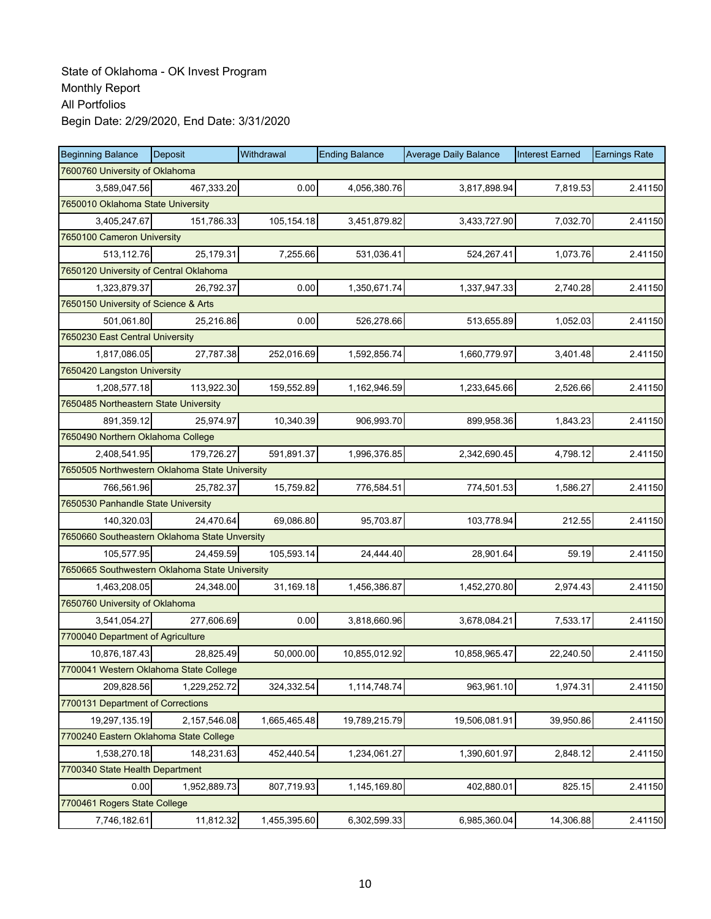| <b>Beginning Balance</b>                       | Deposit      | Withdrawal   | <b>Ending Balance</b> | <b>Average Daily Balance</b> | <b>Interest Earned</b> | <b>Earnings Rate</b> |
|------------------------------------------------|--------------|--------------|-----------------------|------------------------------|------------------------|----------------------|
| 7600760 University of Oklahoma                 |              |              |                       |                              |                        |                      |
| 3,589,047.56                                   | 467,333.20   | 0.00         | 4,056,380.76          | 3,817,898.94                 | 7.819.53               | 2.41150              |
| 7650010 Oklahoma State University              |              |              |                       |                              |                        |                      |
| 3,405,247.67                                   | 151,786.33   | 105,154.18   | 3,451,879.82          | 3,433,727.90                 | 7,032.70               | 2.41150              |
| 7650100 Cameron University                     |              |              |                       |                              |                        |                      |
| 513,112.76                                     | 25,179.31    | 7,255.66     | 531,036.41            | 524,267.41                   | 1,073.76               | 2.41150              |
| 7650120 University of Central Oklahoma         |              |              |                       |                              |                        |                      |
| 1,323,879.37                                   | 26,792.37    | 0.00         | 1,350,671.74          | 1,337,947.33                 | 2,740.28               | 2.41150              |
| 7650150 University of Science & Arts           |              |              |                       |                              |                        |                      |
| 501,061.80                                     | 25,216.86    | 0.00         | 526,278.66            | 513,655.89                   | 1,052.03               | 2.41150              |
| 7650230 East Central University                |              |              |                       |                              |                        |                      |
| 1,817,086.05                                   | 27,787.38    | 252,016.69   | 1,592,856.74          | 1,660,779.97                 | 3,401.48               | 2.41150              |
| 7650420 Langston University                    |              |              |                       |                              |                        |                      |
| 1,208,577.18                                   | 113,922.30   | 159,552.89   | 1,162,946.59          | 1,233,645.66                 | 2,526.66               | 2.41150              |
| 7650485 Northeastern State University          |              |              |                       |                              |                        |                      |
| 891,359.12                                     | 25,974.97    | 10,340.39    | 906,993.70            | 899,958.36                   | 1,843.23               | 2.41150              |
| 7650490 Northern Oklahoma College              |              |              |                       |                              |                        |                      |
| 2,408,541.95                                   | 179,726.27   | 591,891.37   | 1,996,376.85          | 2,342,690.45                 | 4,798.12               | 2.41150              |
| 7650505 Northwestern Oklahoma State University |              |              |                       |                              |                        |                      |
| 766,561.96                                     | 25,782.37    | 15,759.82    | 776,584.51            | 774,501.53                   | 1,586.27               | 2.41150              |
| 7650530 Panhandle State University             |              |              |                       |                              |                        |                      |
| 140,320.03                                     | 24,470.64    | 69,086.80    | 95,703.87             | 103,778.94                   | 212.55                 | 2.41150              |
| 7650660 Southeastern Oklahoma State Unversity  |              |              |                       |                              |                        |                      |
| 105,577.95                                     | 24,459.59    | 105,593.14   | 24,444.40             | 28,901.64                    | 59.19                  | 2.41150              |
| 7650665 Southwestern Oklahoma State University |              |              |                       |                              |                        |                      |
| 1,463,208.05                                   | 24,348.00    | 31,169.18    | 1,456,386.87          | 1,452,270.80                 | 2,974.43               | 2.41150              |
| 7650760 University of Oklahoma                 |              |              |                       |                              |                        |                      |
| 3,541,054.27                                   | 277,606.69   | 0.00         | 3,818,660.96          | 3,678,084.21                 | 7,533.17               | 2.41150              |
| 7700040 Department of Agriculture              |              |              |                       |                              |                        |                      |
| 10,876,187.43                                  | 28,825.49    | 50,000.00    | 10,855,012.92         | 10,858,965.47                | 22,240.50              | 2.41150              |
| 7700041 Western Oklahoma State College         |              |              |                       |                              |                        |                      |
| 209,828.56                                     | 1,229,252.72 | 324,332.54   | 1,114,748.74          | 963,961.10                   | 1,974.31               | 2.41150              |
| 7700131 Department of Corrections              |              |              |                       |                              |                        |                      |
| 19,297,135.19                                  | 2,157,546.08 | 1,665,465.48 | 19,789,215.79         | 19,506,081.91                | 39,950.86              | 2.41150              |
| 7700240 Eastern Oklahoma State College         |              |              |                       |                              |                        |                      |
| 1,538,270.18                                   | 148,231.63   | 452,440.54   | 1,234,061.27          | 1,390,601.97                 | 2,848.12               | 2.41150              |
| 7700340 State Health Department                |              |              |                       |                              |                        |                      |
| 0.00                                           | 1,952,889.73 | 807,719.93   | 1,145,169.80          | 402,880.01                   | 825.15                 | 2.41150              |
| 7700461 Rogers State College                   |              |              |                       |                              |                        |                      |
| 7,746,182.61                                   | 11,812.32    | 1,455,395.60 | 6,302,599.33          | 6,985,360.04                 | 14,306.88              | 2.41150              |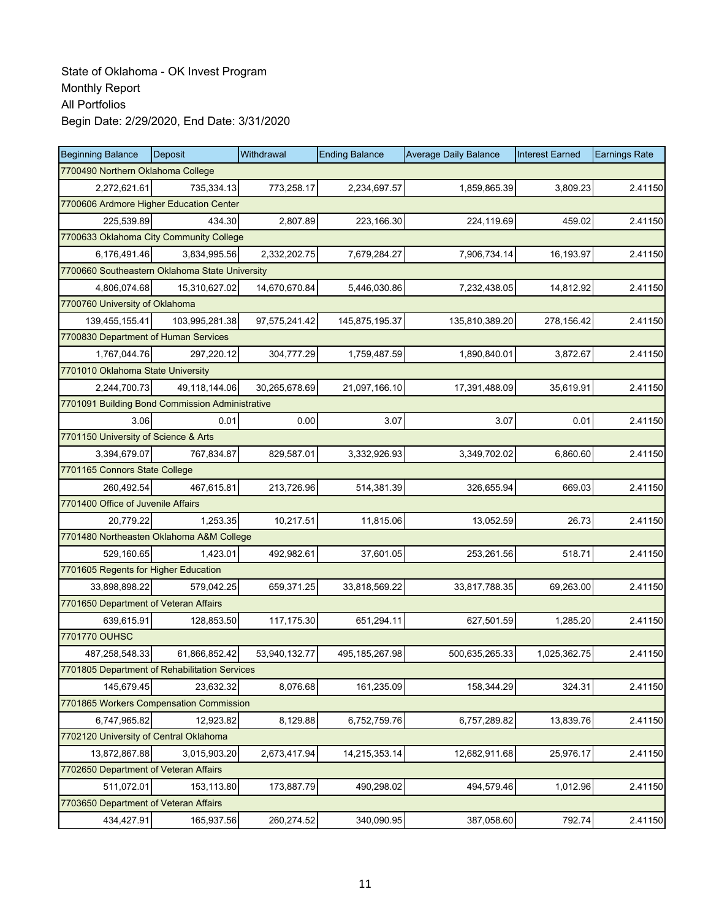| <b>Beginning Balance</b>                        | <b>Deposit</b> | Withdrawal    | <b>Ending Balance</b> | <b>Average Daily Balance</b> | <b>Interest Earned</b> | <b>Earnings Rate</b> |  |  |
|-------------------------------------------------|----------------|---------------|-----------------------|------------------------------|------------------------|----------------------|--|--|
| 7700490 Northern Oklahoma College               |                |               |                       |                              |                        |                      |  |  |
| 2,272,621.61                                    | 735.334.13     | 773,258.17    | 2,234,697.57          | 1,859,865.39                 | 3,809.23               | 2.41150              |  |  |
| 7700606 Ardmore Higher Education Center         |                |               |                       |                              |                        |                      |  |  |
| 225,539.89                                      | 434.30         | 2,807.89      | 223,166.30            | 224,119.69                   | 459.02                 | 2.41150              |  |  |
| 7700633 Oklahoma City Community College         |                |               |                       |                              |                        |                      |  |  |
| 6,176,491.46                                    | 3,834,995.56   | 2,332,202.75  | 7,679,284.27          | 7,906,734.14                 | 16,193.97              | 2.41150              |  |  |
| 7700660 Southeastern Oklahoma State University  |                |               |                       |                              |                        |                      |  |  |
| 4,806,074.68                                    | 15,310,627.02  | 14,670,670.84 | 5,446,030.86          | 7,232,438.05                 | 14,812.92              | 2.41150              |  |  |
| 7700760 University of Oklahoma                  |                |               |                       |                              |                        |                      |  |  |
| 139,455,155.41                                  | 103,995,281.38 | 97,575,241.42 | 145,875,195.37        | 135,810,389.20               | 278,156.42             | 2.41150              |  |  |
| 7700830 Department of Human Services            |                |               |                       |                              |                        |                      |  |  |
| 1,767,044.76                                    | 297,220.12     | 304,777.29    | 1,759,487.59          | 1,890,840.01                 | 3,872.67               | 2.41150              |  |  |
| 7701010 Oklahoma State University               |                |               |                       |                              |                        |                      |  |  |
| 2,244,700.73                                    | 49,118,144.06  | 30,265,678.69 | 21,097,166.10         | 17,391,488.09                | 35,619.91              | 2.41150              |  |  |
| 7701091 Building Bond Commission Administrative |                |               |                       |                              |                        |                      |  |  |
| 3.06                                            | 0.01           | 0.00          | 3.07                  | 3.07                         | 0.01                   | 2.41150              |  |  |
| 7701150 University of Science & Arts            |                |               |                       |                              |                        |                      |  |  |
| 3,394,679.07                                    | 767,834.87     | 829,587.01    | 3,332,926.93          | 3,349,702.02                 | 6,860.60               | 2.41150              |  |  |
| 7701165 Connors State College                   |                |               |                       |                              |                        |                      |  |  |
| 260,492.54                                      | 467,615.81     | 213,726.96    | 514,381.39            | 326,655.94                   | 669.03                 | 2.41150              |  |  |
| 7701400 Office of Juvenile Affairs              |                |               |                       |                              |                        |                      |  |  |
| 20,779.22                                       | 1,253.35       | 10,217.51     | 11,815.06             | 13,052.59                    | 26.73                  | 2.41150              |  |  |
| 7701480 Northeasten Oklahoma A&M College        |                |               |                       |                              |                        |                      |  |  |
| 529,160.65                                      | 1,423.01       | 492,982.61    | 37,601.05             | 253,261.56                   | 518.71                 | 2.41150              |  |  |
| 7701605 Regents for Higher Education            |                |               |                       |                              |                        |                      |  |  |
| 33,898,898.22                                   | 579,042.25     | 659,371.25    | 33,818,569.22         | 33,817,788.35                | 69,263.00              | 2.41150              |  |  |
| 7701650 Department of Veteran Affairs           |                |               |                       |                              |                        |                      |  |  |
| 639,615.91                                      | 128,853.50     | 117,175.30    | 651,294.11            | 627,501.59                   | 1,285.20               | 2.41150              |  |  |
| 7701770 OUHSC                                   |                |               |                       |                              |                        |                      |  |  |
| 487,258,548.33                                  | 61,866,852.42  | 53,940,132.77 | 495,185,267.98        | 500,635,265.33               | 1,025,362.75           | 2.41150              |  |  |
| 7701805 Department of Rehabilitation Services   |                |               |                       |                              |                        |                      |  |  |
| 145,679.45                                      | 23,632.32      | 8,076.68      | 161,235.09            | 158,344.29                   | 324.31                 | 2.41150              |  |  |
| 7701865 Workers Compensation Commission         |                |               |                       |                              |                        |                      |  |  |
| 6,747,965.82                                    | 12,923.82      | 8,129.88      | 6,752,759.76          | 6,757,289.82                 | 13,839.76              | 2.41150              |  |  |
| 7702120 University of Central Oklahoma          |                |               |                       |                              |                        |                      |  |  |
| 13,872,867.88                                   | 3,015,903.20   | 2,673,417.94  | 14,215,353.14         | 12,682,911.68                | 25,976.17              | 2.41150              |  |  |
| 7702650 Department of Veteran Affairs           |                |               |                       |                              |                        |                      |  |  |
| 511,072.01                                      | 153,113.80     | 173,887.79    | 490,298.02            | 494,579.46                   | 1,012.96               | 2.41150              |  |  |
| 7703650 Department of Veteran Affairs           |                |               |                       |                              |                        |                      |  |  |
| 434,427.91                                      | 165,937.56     | 260,274.52    | 340,090.95            | 387,058.60                   | 792.74                 | 2.41150              |  |  |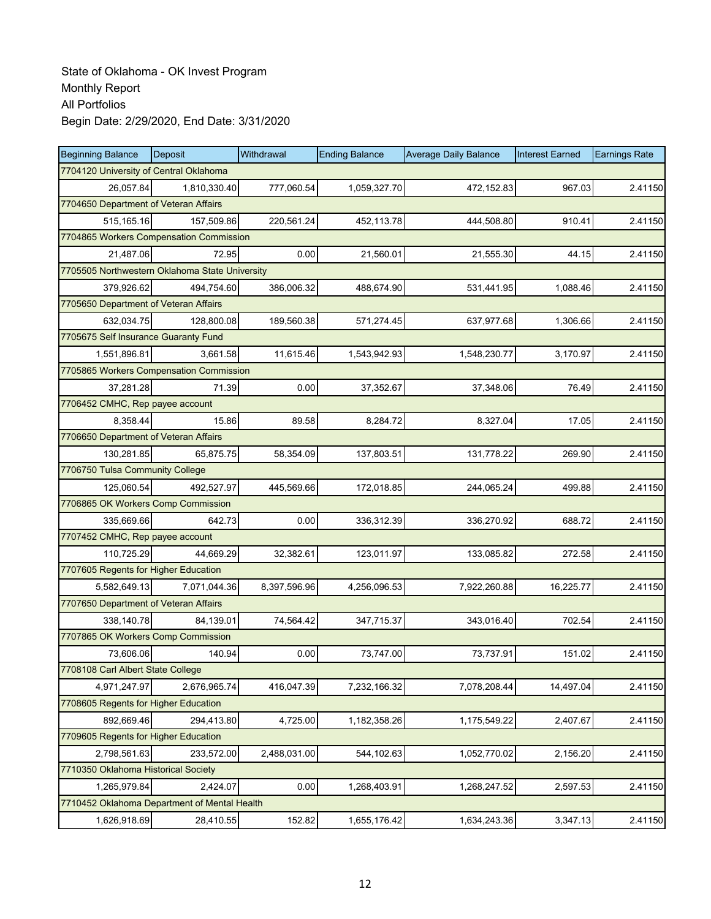| <b>Beginning Balance</b>                       | Deposit      | Withdrawal   | <b>Ending Balance</b> | <b>Average Daily Balance</b> | <b>Interest Earned</b> | <b>Earnings Rate</b> |
|------------------------------------------------|--------------|--------------|-----------------------|------------------------------|------------------------|----------------------|
| 7704120 University of Central Oklahoma         |              |              |                       |                              |                        |                      |
| 26,057.84                                      | 1,810,330.40 | 777,060.54   | 1,059,327.70          | 472,152.83                   | 967.03                 | 2.41150              |
| 7704650 Department of Veteran Affairs          |              |              |                       |                              |                        |                      |
| 515,165.16                                     | 157,509.86   | 220,561.24   | 452,113.78            | 444,508.80                   | 910.41                 | 2.41150              |
| 7704865 Workers Compensation Commission        |              |              |                       |                              |                        |                      |
| 21,487.06                                      | 72.95        | 0.00         | 21,560.01             | 21,555.30                    | 44.15                  | 2.41150              |
| 7705505 Northwestern Oklahoma State University |              |              |                       |                              |                        |                      |
| 379,926.62                                     | 494,754.60   | 386,006.32   | 488,674.90            | 531,441.95                   | 1,088.46               | 2.41150              |
| 7705650 Department of Veteran Affairs          |              |              |                       |                              |                        |                      |
| 632,034.75                                     | 128,800.08   | 189,560.38   | 571,274.45            | 637,977.68                   | 1,306.66               | 2.41150              |
| 7705675 Self Insurance Guaranty Fund           |              |              |                       |                              |                        |                      |
| 1,551,896.81                                   | 3,661.58     | 11,615.46    | 1,543,942.93          | 1,548,230.77                 | 3,170.97               | 2.41150              |
| 7705865 Workers Compensation Commission        |              |              |                       |                              |                        |                      |
| 37,281.28                                      | 71.39        | 0.00         | 37,352.67             | 37,348.06                    | 76.49                  | 2.41150              |
| 7706452 CMHC, Rep payee account                |              |              |                       |                              |                        |                      |
| 8,358.44                                       | 15.86        | 89.58        | 8,284.72              | 8,327.04                     | 17.05                  | 2.41150              |
| 7706650 Department of Veteran Affairs          |              |              |                       |                              |                        |                      |
| 130,281.85                                     | 65,875.75    | 58,354.09    | 137,803.51            | 131,778.22                   | 269.90                 | 2.41150              |
| 7706750 Tulsa Community College                |              |              |                       |                              |                        |                      |
| 125,060.54                                     | 492,527.97   | 445,569.66   | 172,018.85            | 244,065.24                   | 499.88                 | 2.41150              |
| 7706865 OK Workers Comp Commission             |              |              |                       |                              |                        |                      |
| 335,669.66                                     | 642.73       | 0.00         | 336,312.39            | 336,270.92                   | 688.72                 | 2.41150              |
| 7707452 CMHC, Rep payee account                |              |              |                       |                              |                        |                      |
| 110,725.29                                     | 44.669.29    | 32,382.61    | 123,011.97            | 133,085.82                   | 272.58                 | 2.41150              |
| 7707605 Regents for Higher Education           |              |              |                       |                              |                        |                      |
| 5,582,649.13                                   | 7,071,044.36 | 8,397,596.96 | 4,256,096.53          | 7,922,260.88                 | 16,225.77              | 2.41150              |
| 7707650 Department of Veteran Affairs          |              |              |                       |                              |                        |                      |
| 338,140.78                                     | 84,139.01    | 74,564.42    | 347,715.37            | 343,016.40                   | 702.54                 | 2.41150              |
| 7707865 OK Workers Comp Commission             |              |              |                       |                              |                        |                      |
| 73,606.06                                      | 140.94       | 0.00         | 73,747.00             | 73,737.91                    | 151.02                 | 2.41150              |
| 7708108 Carl Albert State College              |              |              |                       |                              |                        |                      |
| 4,971,247.97                                   | 2,676,965.74 | 416,047.39   | 7,232,166.32          | 7,078,208.44                 | 14,497.04              | 2.41150              |
| 7708605 Regents for Higher Education           |              |              |                       |                              |                        |                      |
| 892,669.46                                     | 294,413.80   | 4,725.00     | 1,182,358.26          | 1,175,549.22                 | 2,407.67               | 2.41150              |
| 7709605 Regents for Higher Education           |              |              |                       |                              |                        |                      |
| 2,798,561.63                                   | 233,572.00   | 2,488,031.00 | 544,102.63            | 1,052,770.02                 | 2,156.20               | 2.41150              |
| 7710350 Oklahoma Historical Society            |              |              |                       |                              |                        |                      |
| 1,265,979.84                                   | 2,424.07     | 0.00         | 1,268,403.91          | 1,268,247.52                 | 2,597.53               | 2.41150              |
| 7710452 Oklahoma Department of Mental Health   |              |              |                       |                              |                        |                      |
| 1,626,918.69                                   | 28,410.55    | 152.82       | 1,655,176.42          | 1,634,243.36                 | 3,347.13               | 2.41150              |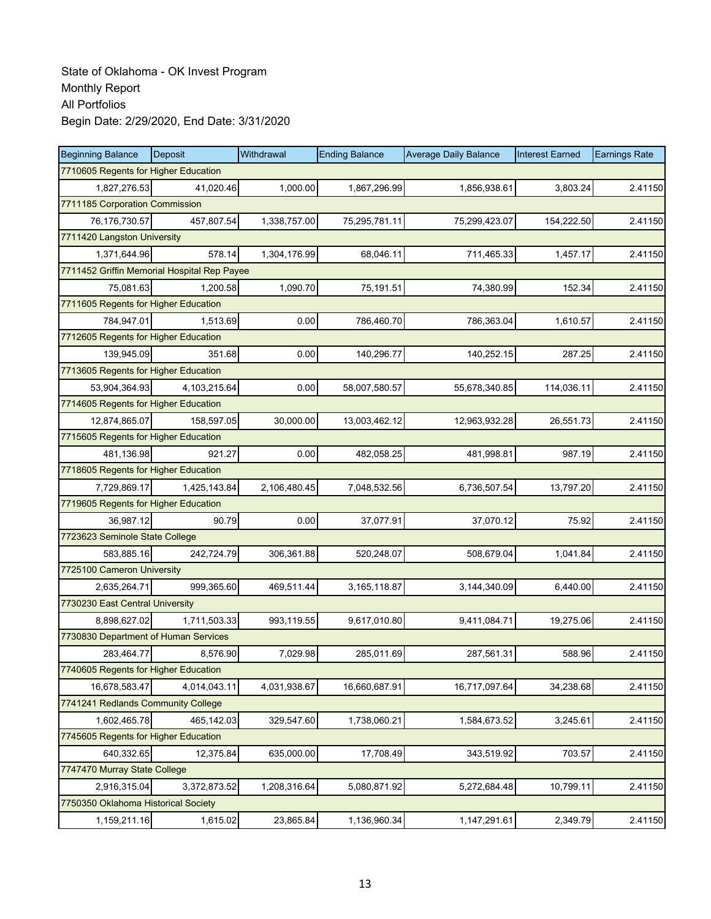| <b>Beginning Balance</b>                    | <b>Deposit</b> | Withdrawal   | <b>Ending Balance</b> | <b>Average Daily Balance</b> | <b>Interest Earned</b> | <b>Earnings Rate</b> |  |  |
|---------------------------------------------|----------------|--------------|-----------------------|------------------------------|------------------------|----------------------|--|--|
| 7710605 Regents for Higher Education        |                |              |                       |                              |                        |                      |  |  |
| 1,827,276.53                                | 41,020.46      | 1,000.00     | 1,867,296.99          | 1,856,938.61                 | 3,803.24               | 2.41150              |  |  |
| 7711185 Corporation Commission              |                |              |                       |                              |                        |                      |  |  |
| 76,176,730.57                               | 457,807.54     | 1,338,757.00 | 75,295,781.11         | 75,299,423.07                | 154,222.50             | 2.41150              |  |  |
| 7711420 Langston University                 |                |              |                       |                              |                        |                      |  |  |
| 1,371,644.96                                | 578.14         | 1,304,176.99 | 68,046.11             | 711,465.33                   | 1,457.17               | 2.41150              |  |  |
| 7711452 Griffin Memorial Hospital Rep Payee |                |              |                       |                              |                        |                      |  |  |
| 75,081.63                                   | 1,200.58       | 1,090.70     | 75,191.51             | 74,380.99                    | 152.34                 | 2.41150              |  |  |
| 7711605 Regents for Higher Education        |                |              |                       |                              |                        |                      |  |  |
| 784,947.01                                  | 1,513.69       | 0.00         | 786,460.70            | 786,363.04                   | 1,610.57               | 2.41150              |  |  |
| 7712605 Regents for Higher Education        |                |              |                       |                              |                        |                      |  |  |
| 139,945.09                                  | 351.68         | 0.00         | 140,296.77            | 140,252.15                   | 287.25                 | 2.41150              |  |  |
| 7713605 Regents for Higher Education        |                |              |                       |                              |                        |                      |  |  |
| 53,904,364.93                               | 4,103,215.64   | 0.00         | 58,007,580.57         | 55,678,340.85                | 114,036.11             | 2.41150              |  |  |
| 7714605 Regents for Higher Education        |                |              |                       |                              |                        |                      |  |  |
| 12,874,865.07                               | 158,597.05     | 30,000.00    | 13,003,462.12         | 12,963,932.28                | 26,551.73              | 2.41150              |  |  |
| 7715605 Regents for Higher Education        |                |              |                       |                              |                        |                      |  |  |
| 481,136.98                                  | 921.27         | 0.00         | 482,058.25            | 481,998.81                   | 987.19                 | 2.41150              |  |  |
| 7718605 Regents for Higher Education        |                |              |                       |                              |                        |                      |  |  |
| 7,729,869.17                                | 1,425,143.84   | 2,106,480.45 | 7,048,532.56          | 6,736,507.54                 | 13,797.20              | 2.41150              |  |  |
| 7719605 Regents for Higher Education        |                |              |                       |                              |                        |                      |  |  |
| 36,987.12                                   | 90.79          | 0.00         | 37,077.91             | 37,070.12                    | 75.92                  | 2.41150              |  |  |
| 7723623 Seminole State College              |                |              |                       |                              |                        |                      |  |  |
| 583,885.16                                  | 242,724.79     | 306,361.88   | 520,248.07            | 508,679.04                   | 1,041.84               | 2.41150              |  |  |
| 7725100 Cameron University                  |                |              |                       |                              |                        |                      |  |  |
| 2,635,264.71                                | 999,365.60     | 469,511.44   | 3,165,118.87          | 3,144,340.09                 | 6,440.00               | 2.41150              |  |  |
| 7730230 East Central University             |                |              |                       |                              |                        |                      |  |  |
| 8,898,627.02                                | 1,711,503.33   | 993,119.55   | 9,617,010.80          | 9,411,084.71                 | 19,275.06              | 2.41150              |  |  |
| 7730830 Department of Human Services        |                |              |                       |                              |                        |                      |  |  |
| 283,464.77                                  | 8,576.90       | 7,029.98     | 285,011.69            | 287,561.31                   | 588.96                 | 2.41150              |  |  |
| 7740605 Regents for Higher Education        |                |              |                       |                              |                        |                      |  |  |
| 16,678,583.47                               | 4,014,043.11   | 4,031,938.67 | 16,660,687.91         | 16,717,097.64                | 34,238.68              | 2.41150              |  |  |
| 7741241 Redlands Community College          |                |              |                       |                              |                        |                      |  |  |
| 1,602,465.78                                | 465,142.03     | 329,547.60   | 1,738,060.21          | 1,584,673.52                 | 3,245.61               | 2.41150              |  |  |
| 7745605 Regents for Higher Education        |                |              |                       |                              |                        |                      |  |  |
| 640,332.65                                  | 12,375.84      | 635,000.00   | 17,708.49             | 343,519.92                   | 703.57                 | 2.41150              |  |  |
| 7747470 Murray State College                |                |              |                       |                              |                        |                      |  |  |
| 2,916,315.04                                | 3,372,873.52   | 1,208,316.64 | 5,080,871.92          | 5,272,684.48                 | 10,799.11              | 2.41150              |  |  |
| 7750350 Oklahoma Historical Society         |                |              |                       |                              |                        |                      |  |  |
| 1,159,211.16                                | 1,615.02       | 23,865.84    | 1,136,960.34          | 1,147,291.61                 | 2,349.79               | 2.41150              |  |  |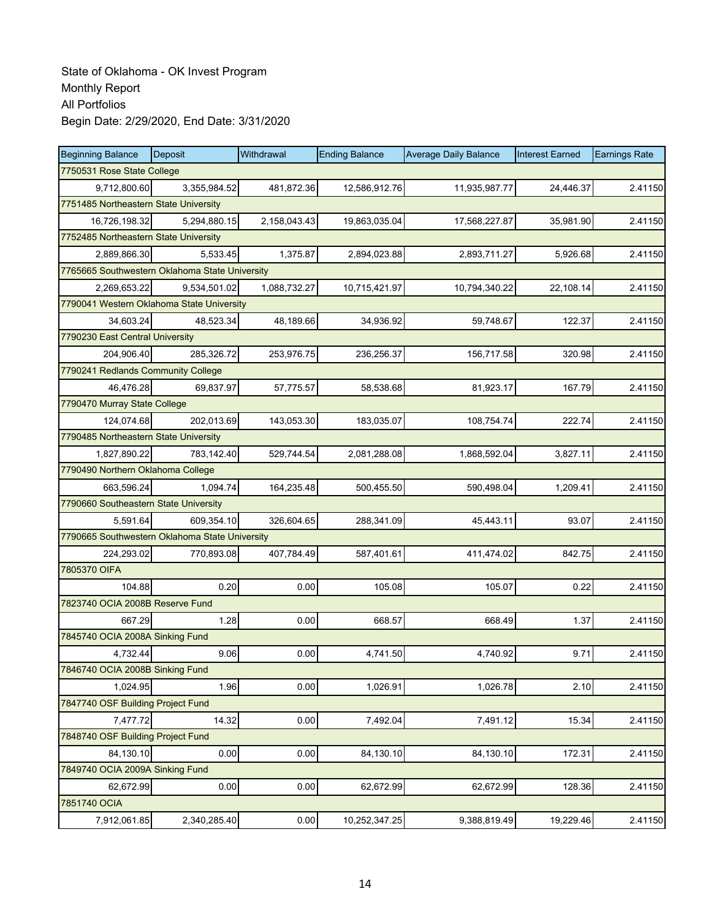| <b>Beginning Balance</b>                       | <b>Deposit</b> | Withdrawal   | <b>Ending Balance</b> | <b>Average Daily Balance</b> | <b>Interest Earned</b> | <b>Earnings Rate</b> |  |  |
|------------------------------------------------|----------------|--------------|-----------------------|------------------------------|------------------------|----------------------|--|--|
| 7750531 Rose State College                     |                |              |                       |                              |                        |                      |  |  |
| 9,712,800.60                                   | 3,355,984.52   | 481,872.36   | 12,586,912.76         | 11,935,987.77                | 24,446.37              | 2.41150              |  |  |
| 7751485 Northeastern State University          |                |              |                       |                              |                        |                      |  |  |
| 16,726,198.32                                  | 5.294.880.15   | 2,158,043.43 | 19,863,035.04         | 17,568,227.87                | 35,981.90              | 2.41150              |  |  |
| 7752485 Northeastern State University          |                |              |                       |                              |                        |                      |  |  |
| 2,889,866.30                                   | 5,533.45       | 1,375.87     | 2,894,023.88          | 2,893,711.27                 | 5,926.68               | 2.41150              |  |  |
| 7765665 Southwestern Oklahoma State University |                |              |                       |                              |                        |                      |  |  |
| 2,269,653.22                                   | 9,534,501.02   | 1,088,732.27 | 10,715,421.97         | 10,794,340.22                | 22,108.14              | 2.41150              |  |  |
| 7790041 Western Oklahoma State University      |                |              |                       |                              |                        |                      |  |  |
| 34,603.24                                      | 48,523.34      | 48,189.66    | 34,936.92             | 59,748.67                    | 122.37                 | 2.41150              |  |  |
| 7790230 East Central University                |                |              |                       |                              |                        |                      |  |  |
| 204,906.40                                     | 285,326.72     | 253,976.75   | 236,256.37            | 156,717.58                   | 320.98                 | 2.41150              |  |  |
| 7790241 Redlands Community College             |                |              |                       |                              |                        |                      |  |  |
| 46.476.28                                      | 69,837.97      | 57,775.57    | 58,538.68             | 81,923.17                    | 167.79                 | 2.41150              |  |  |
| 7790470 Murray State College                   |                |              |                       |                              |                        |                      |  |  |
| 124,074.68                                     | 202,013.69     | 143,053.30   | 183.035.07            | 108,754.74                   | 222.74                 | 2.41150              |  |  |
| 7790485 Northeastern State University          |                |              |                       |                              |                        |                      |  |  |
| 1,827,890.22                                   | 783,142.40     | 529,744.54   | 2,081,288.08          | 1,868,592.04                 | 3,827.11               | 2.41150              |  |  |
| 7790490 Northern Oklahoma College              |                |              |                       |                              |                        |                      |  |  |
| 663,596.24                                     | 1,094.74       | 164,235.48   | 500,455.50            | 590,498.04                   | 1,209.41               | 2.41150              |  |  |
| 7790660 Southeastern State University          |                |              |                       |                              |                        |                      |  |  |
| 5,591.64                                       | 609,354.10     | 326,604.65   | 288,341.09            | 45,443.11                    | 93.07                  | 2.41150              |  |  |
| 7790665 Southwestern Oklahoma State University |                |              |                       |                              |                        |                      |  |  |
| 224,293.02                                     | 770,893.08     | 407,784.49   | 587,401.61            | 411,474.02                   | 842.75                 | 2.41150              |  |  |
| 7805370 OIFA                                   |                |              |                       |                              |                        |                      |  |  |
| 104.88                                         | 0.20           | 0.00         | 105.08                | 105.07                       | 0.22                   | 2.41150              |  |  |
| 7823740 OCIA 2008B Reserve Fund                |                |              |                       |                              |                        |                      |  |  |
| 667.29                                         | 1.28           | 0.00         | 668.57                | 668.49                       | 1.37                   | 2.41150              |  |  |
| 7845740 OCIA 2008A Sinking Fund                |                |              |                       |                              |                        |                      |  |  |
| 4,732.44                                       | 9.06           | 0.00         | 4,741.50              | 4,740.92                     | 9.71                   | 2.41150              |  |  |
| 7846740 OCIA 2008B Sinking Fund                |                |              |                       |                              |                        |                      |  |  |
| 1,024.95                                       | 1.96           | 0.00         | 1,026.91              | 1,026.78                     | 2.10                   | 2.41150              |  |  |
| 7847740 OSF Building Project Fund              |                |              |                       |                              |                        |                      |  |  |
| 7,477.72                                       | 14.32          | 0.00         | 7,492.04              | 7,491.12                     | 15.34                  | 2.41150              |  |  |
| 7848740 OSF Building Project Fund              |                |              |                       |                              |                        |                      |  |  |
| 84,130.10                                      | 0.00           | 0.00         | 84,130.10             | 84,130.10                    | 172.31                 | 2.41150              |  |  |
| 7849740 OCIA 2009A Sinking Fund                |                |              |                       |                              |                        |                      |  |  |
| 62,672.99                                      | 0.00           | 0.00         | 62,672.99             | 62,672.99                    | 128.36                 | 2.41150              |  |  |
| 7851740 OCIA                                   |                |              |                       |                              |                        |                      |  |  |
| 7,912,061.85                                   | 2,340,285.40   | 0.00         | 10,252,347.25         | 9,388,819.49                 | 19,229.46              | 2.41150              |  |  |